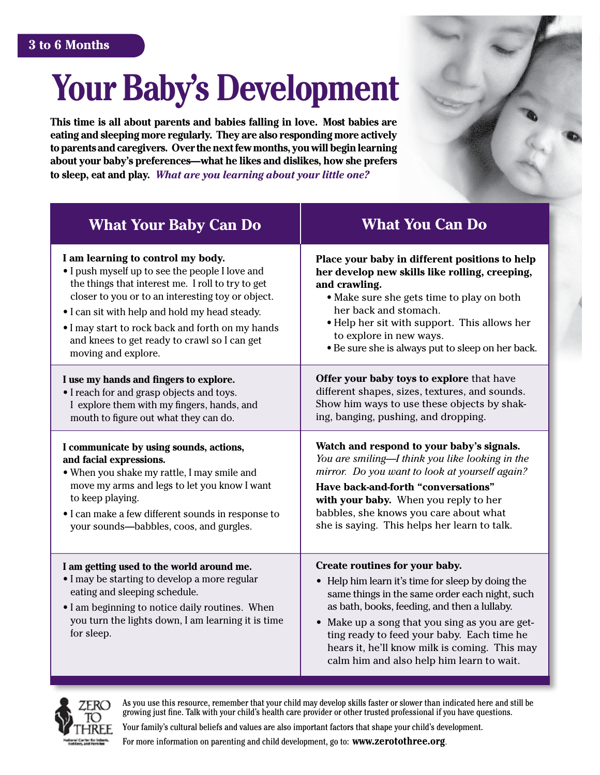# **Your Baby's Development**

**This time is all about parents and babies falling in love. Most babies are eating and sleeping more regularly. They are also responding more actively to parents and caregivers. Over the next few months, you will begin learning about your baby's preferences—what he likes and dislikes, how she prefers to sleep, eat and play.** *What are you learning about your little one?* 



| <b>What Your Baby Can Do</b>                                                                                                                                                                                                                       | <b>What You Can Do</b>                                                                                                                                                                                                                                                                                                                                                              |
|----------------------------------------------------------------------------------------------------------------------------------------------------------------------------------------------------------------------------------------------------|-------------------------------------------------------------------------------------------------------------------------------------------------------------------------------------------------------------------------------------------------------------------------------------------------------------------------------------------------------------------------------------|
| I am learning to control my body.                                                                                                                                                                                                                  | Place your baby in different positions to help                                                                                                                                                                                                                                                                                                                                      |
| • I push myself up to see the people I love and                                                                                                                                                                                                    | her develop new skills like rolling, creeping,                                                                                                                                                                                                                                                                                                                                      |
| the things that interest me. I roll to try to get                                                                                                                                                                                                  | and crawling.                                                                                                                                                                                                                                                                                                                                                                       |
| closer to you or to an interesting toy or object.                                                                                                                                                                                                  | • Make sure she gets time to play on both                                                                                                                                                                                                                                                                                                                                           |
| • I can sit with help and hold my head steady.                                                                                                                                                                                                     | her back and stomach.                                                                                                                                                                                                                                                                                                                                                               |
| . I may start to rock back and forth on my hands                                                                                                                                                                                                   | • Help her sit with support. This allows her                                                                                                                                                                                                                                                                                                                                        |
| and knees to get ready to crawl so I can get                                                                                                                                                                                                       | to explore in new ways.                                                                                                                                                                                                                                                                                                                                                             |
| moving and explore.                                                                                                                                                                                                                                | • Be sure she is always put to sleep on her back.                                                                                                                                                                                                                                                                                                                                   |
| I use my hands and fingers to explore.                                                                                                                                                                                                             | Offer your baby toys to explore that have                                                                                                                                                                                                                                                                                                                                           |
| • I reach for and grasp objects and toys.                                                                                                                                                                                                          | different shapes, sizes, textures, and sounds.                                                                                                                                                                                                                                                                                                                                      |
| I explore them with my fingers, hands, and                                                                                                                                                                                                         | Show him ways to use these objects by shak-                                                                                                                                                                                                                                                                                                                                         |
| mouth to figure out what they can do.                                                                                                                                                                                                              | ing, banging, pushing, and dropping.                                                                                                                                                                                                                                                                                                                                                |
| I communicate by using sounds, actions,                                                                                                                                                                                                            | Watch and respond to your baby's signals.                                                                                                                                                                                                                                                                                                                                           |
| and facial expressions.                                                                                                                                                                                                                            | You are smiling-I think you like looking in the                                                                                                                                                                                                                                                                                                                                     |
| . When you shake my rattle, I may smile and                                                                                                                                                                                                        | mirror. Do you want to look at yourself again?                                                                                                                                                                                                                                                                                                                                      |
| move my arms and legs to let you know I want                                                                                                                                                                                                       | Have back-and-forth "conversations"                                                                                                                                                                                                                                                                                                                                                 |
| to keep playing.                                                                                                                                                                                                                                   | with your baby. When you reply to her                                                                                                                                                                                                                                                                                                                                               |
| • I can make a few different sounds in response to                                                                                                                                                                                                 | babbles, she knows you care about what                                                                                                                                                                                                                                                                                                                                              |
| your sounds-babbles, coos, and gurgles.                                                                                                                                                                                                            | she is saying. This helps her learn to talk.                                                                                                                                                                                                                                                                                                                                        |
| I am getting used to the world around me.<br>• I may be starting to develop a more regular<br>eating and sleeping schedule.<br>• I am beginning to notice daily routines. When<br>you turn the lights down, I am learning it is time<br>for sleep. | Create routines for your baby.<br>• Help him learn it's time for sleep by doing the<br>same things in the same order each night, such<br>as bath, books, feeding, and then a lullaby.<br>• Make up a song that you sing as you are get-<br>ting ready to feed your baby. Each time he<br>hears it, he'll know milk is coming. This may<br>calm him and also help him learn to wait. |



As you use this resource, remember that your child may develop skills faster or slower than indicated here and still be growing just fine. Talk with your child's health care provider or other trusted professional if you have questions.

Your family's cultural beliefs and values are also important factors that shape your child's development.

For more information on parenting and child development, go to: **www.zerotothree.org**.